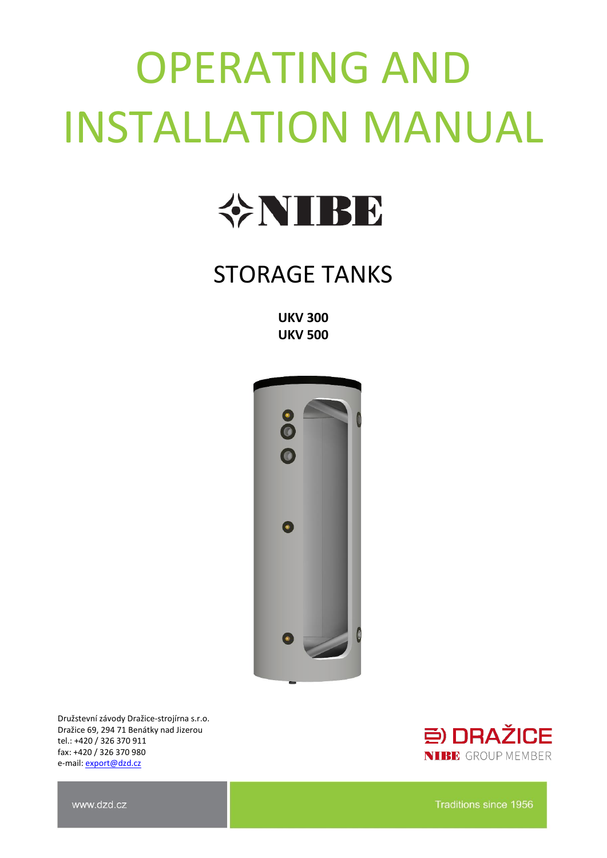# OPERATING AND INSTALLATION MANUAL



### STORAGE TANKS

**UKV 300 UKV 500**



Družstevní závody Dražice-strojírna s.r.o. Dražice 69, 294 71 Benátky nad Jizerou tel.: +420 / 326 370 911 fax: +420 / 326 370 980 e-mail: [export@dzd.cz](mailto:export@dzd.cz)



www.dzd.cz

Traditions since 1956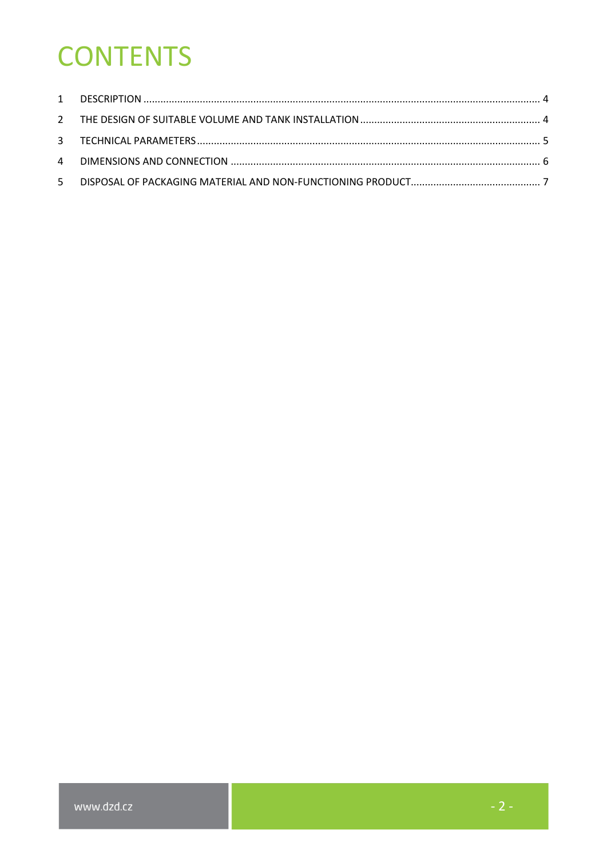# **CONTENTS**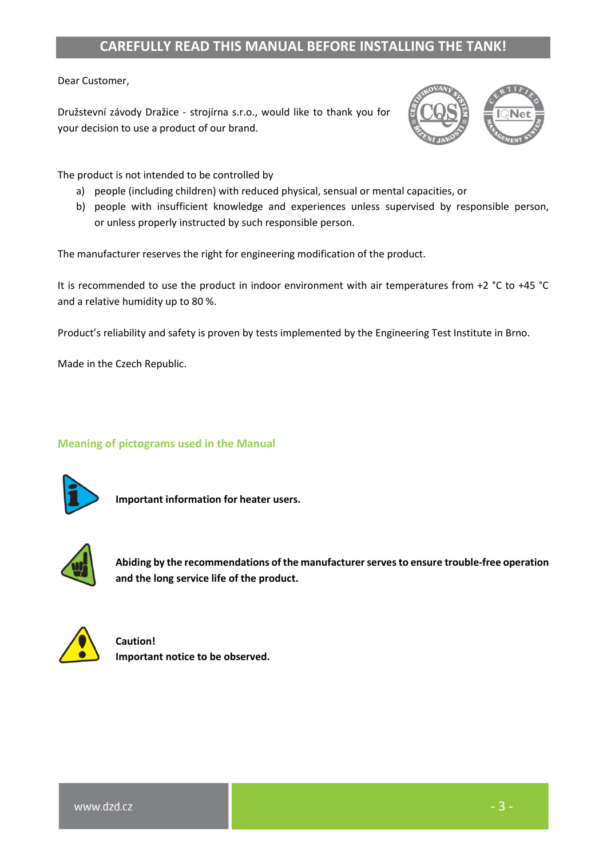#### **CAREFULLY READ THIS MANUAL BEFORE INSTALLING THE TANK!**

Dear Customer,

Družstevní závody Dražice - strojírna s.r.o., would like to thank you for your decision to use a product of our brand.



The product is not intended to be controlled by

- a) people (including children) with reduced physical, sensual or mental capacities, or
- b) people with insufficient knowledge and experiences unless supervised by responsible person, or unless properly instructed by such responsible person.

The manufacturer reserves the right for engineering modification of the product.

It is recommended to use the product in indoor environment with air temperatures from +2 °C to +45 °C and a relative humidity up to 80 %.

Product's reliability and safety is proven by tests implemented by the Engineering Test Institute in Brno.

Made in the Czech Republic.

#### **Meaning of pictograms used in the Manual**



**Important information for heater users.**



**Abiding by the recommendations of the manufacturer serves to ensure trouble-free operation and the long service life of the product.**



**Caution! Important notice to be observed.**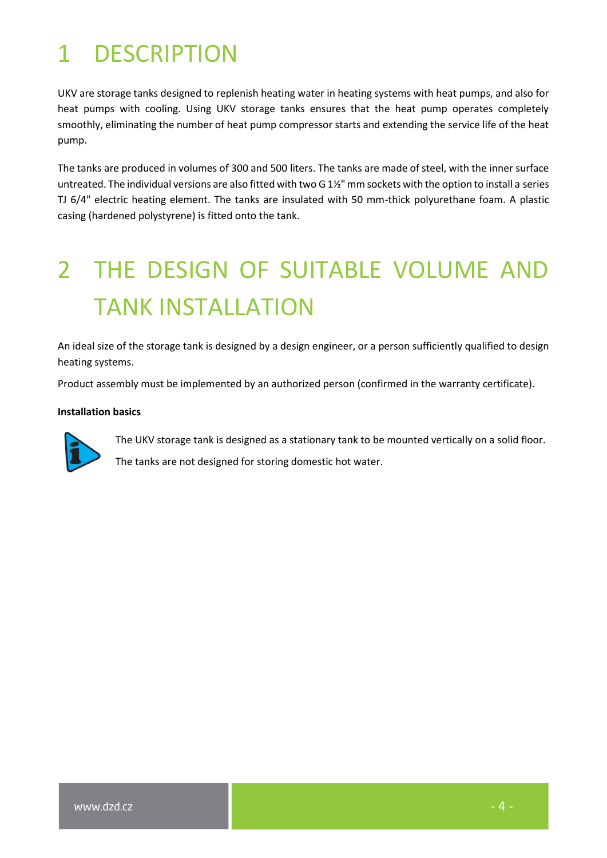### <span id="page-3-0"></span>1 DESCRIPTION

UKV are storage tanks designed to replenish heating water in heating systems with heat pumps, and also for heat pumps with cooling. Using UKV storage tanks ensures that the heat pump operates completely smoothly, eliminating the number of heat pump compressor starts and extending the service life of the heat pump.

The tanks are produced in volumes of 300 and 500 liters. The tanks are made of steel, with the inner surface untreated. The individual versions are also fitted with two G 1½" mm sockets with the option to install a series TJ 6/4" electric heating element. The tanks are insulated with 50 mm-thick polyurethane foam. A plastic casing (hardened polystyrene) is fitted onto the tank.

# <span id="page-3-1"></span>2 THE DESIGN OF SUITABLE VOLUME AND TANK INSTALLATION

An ideal size of the storage tank is designed by a design engineer, or a person sufficiently qualified to design heating systems.

Product assembly must be implemented by an authorized person (confirmed in the warranty certificate).

#### **Installation basics**



The UKV storage tank is designed as a stationary tank to be mounted vertically on a solid floor.

The tanks are not designed for storing domestic hot water.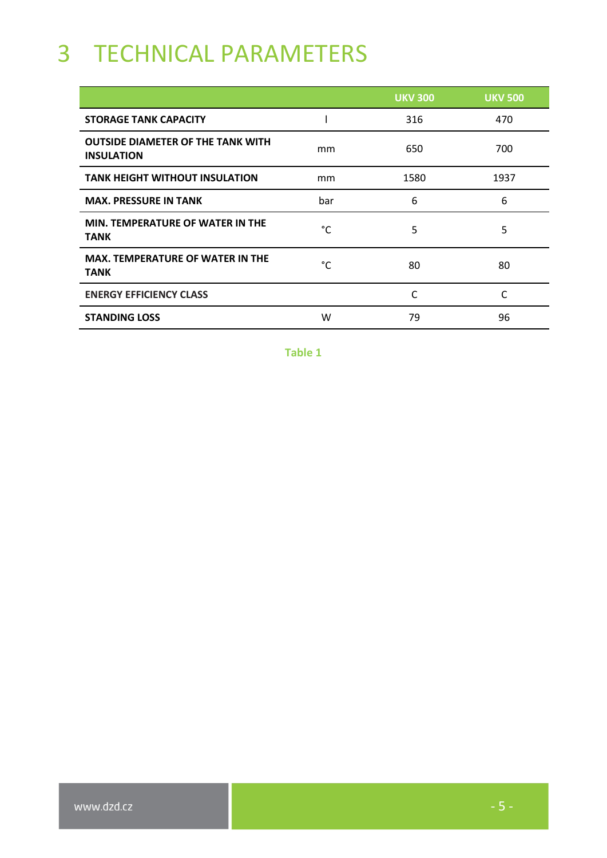## <span id="page-4-0"></span>3 TECHNICAL PARAMETERS

|                                                               |     | <b>UKV 300</b> | <b>UKV 500</b> |
|---------------------------------------------------------------|-----|----------------|----------------|
| <b>STORAGE TANK CAPACITY</b>                                  |     | 316            | 470            |
| <b>OUTSIDE DIAMETER OF THE TANK WITH</b><br><b>INSULATION</b> | mm  | 650            | 700            |
| <b>TANK HEIGHT WITHOUT INSULATION</b>                         | mm  | 1580           | 1937           |
| <b>MAX. PRESSURE IN TANK</b>                                  | bar | 6              | 6              |
| MIN. TEMPERATURE OF WATER IN THE<br><b>TANK</b>               | °C  | 5              | 5              |
| <b>MAX. TEMPERATURE OF WATER IN THE</b><br><b>TANK</b>        | °C  | 80             | 80             |
| <b>ENERGY EFFICIENCY CLASS</b>                                |     |                | C              |
| <b>STANDING LOSS</b>                                          | w   | 79             | 96             |

**Table 1**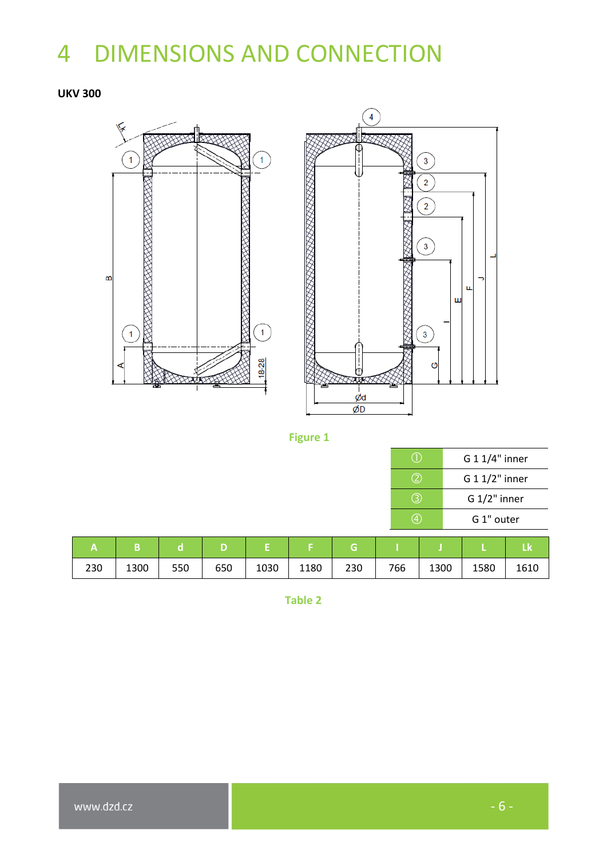# <span id="page-5-0"></span>4 DIMENSIONS AND CONNECTION

#### **UKV 300**





#### **Figure 1**

|     | G 1 1/4" inner |  |  |  |  |
|-----|----------------|--|--|--|--|
| (2) | G 1 1/2" inner |  |  |  |  |
| 3   | $G 1/2"$ inner |  |  |  |  |
|     | G 1" outer     |  |  |  |  |

|     |      |     |     |      |      |     |     |      |      | LΚ   |
|-----|------|-----|-----|------|------|-----|-----|------|------|------|
| 230 | 1300 | 550 | 650 | 1030 | 1180 | 230 | 766 | 1300 | 1580 | 1610 |

**Table 2**